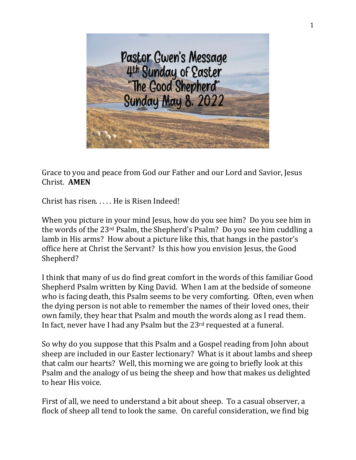

Grace to you and peace from God our Father and our Lord and Savior, Jesus Christ. **AMEN**

Christ has risen. . . . . He is Risen Indeed!

When you picture in your mind Jesus, how do you see him? Do you see him in the words of the 23rd Psalm, the Shepherd's Psalm? Do you see him cuddling a lamb in His arms? How about a picture like this, that hangs in the pastor's office here at Christ the Servant? Is this how you envision Jesus, the Good Shepherd?

I think that many of us do find great comfort in the words of this familiar Good Shepherd Psalm written by King David. When I am at the bedside of someone who is facing death, this Psalm seems to be very comforting. Often, even when the dying person is not able to remember the names of their loved ones, their own family, they hear that Psalm and mouth the words along as I read them. In fact, never have I had any Psalm but the 23rd requested at a funeral.

So why do you suppose that this Psalm and a Gospel reading from John about sheep are included in our Easter lectionary? What is it about lambs and sheep that calm our hearts? Well, this morning we are going to briefly look at this Psalm and the analogy of us being the sheep and how that makes us delighted to hear His voice.

First of all, we need to understand a bit about sheep. To a casual observer, a flock of sheep all tend to look the same. On careful consideration, we find big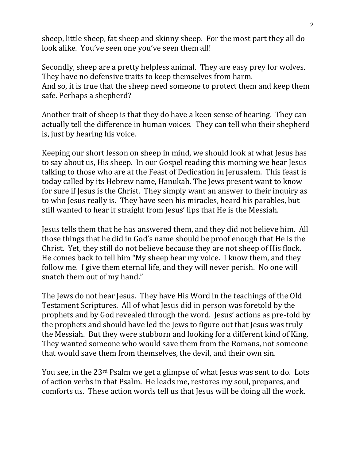sheep, little sheep, fat sheep and skinny sheep. For the most part they all do look alike. You've seen one you've seen them all!

Secondly, sheep are a pretty helpless animal. They are easy prey for wolves. They have no defensive traits to keep themselves from harm. And so, it is true that the sheep need someone to protect them and keep them safe. Perhaps a shepherd?

Another trait of sheep is that they do have a keen sense of hearing. They can actually tell the difference in human voices. They can tell who their shepherd is, just by hearing his voice.

Keeping our short lesson on sheep in mind, we should look at what Jesus has to say about us, His sheep. In our Gospel reading this morning we hear Jesus talking to those who are at the Feast of Dedication in Jerusalem. This feast is today called by its Hebrew name, Hanukah. The Jews present want to know for sure if Jesus is the Christ. They simply want an answer to their inquiry as to who Jesus really is. They have seen his miracles, heard his parables, but still wanted to hear it straight from Jesus' lips that He is the Messiah.

Jesus tells them that he has answered them, and they did not believe him. All those things that he did in God's name should be proof enough that He is the Christ. Yet, they still do not believe because they are not sheep of His flock. He comes back to tell him "My sheep hear my voice. I know them, and they follow me. I give them eternal life, and they will never perish. No one will snatch them out of my hand."

The Jews do not hear Jesus. They have His Word in the teachings of the Old Testament Scriptures. All of what Jesus did in person was foretold by the prophets and by God revealed through the word. Jesus' actions as pre-told by the prophets and should have led the Jews to figure out that Jesus was truly the Messiah. But they were stubborn and looking for a different kind of King. They wanted someone who would save them from the Romans, not someone that would save them from themselves, the devil, and their own sin.

You see, in the 23rd Psalm we get a glimpse of what Jesus was sent to do. Lots of action verbs in that Psalm. He leads me, restores my soul, prepares, and comforts us. These action words tell us that Jesus will be doing all the work.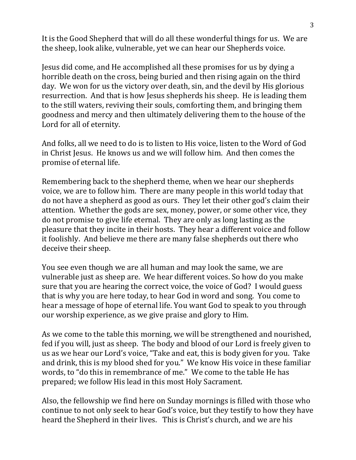It is the Good Shepherd that will do all these wonderful things for us. We are the sheep, look alike, vulnerable, yet we can hear our Shepherds voice.

Jesus did come, and He accomplished all these promises for us by dying a horrible death on the cross, being buried and then rising again on the third day. We won for us the victory over death, sin, and the devil by His glorious resurrection. And that is how Jesus shepherds his sheep. He is leading them to the still waters, reviving their souls, comforting them, and bringing them goodness and mercy and then ultimately delivering them to the house of the Lord for all of eternity.

And folks, all we need to do is to listen to His voice, listen to the Word of God in Christ Jesus. He knows us and we will follow him. And then comes the promise of eternal life.

Remembering back to the shepherd theme, when we hear our shepherds voice, we are to follow him. There are many people in this world today that do not have a shepherd as good as ours. They let their other god's claim their attention. Whether the gods are sex, money, power, or some other vice, they do not promise to give life eternal. They are only as long lasting as the pleasure that they incite in their hosts. They hear a different voice and follow it foolishly. And believe me there are many false shepherds out there who deceive their sheep.

You see even though we are all human and may look the same, we are vulnerable just as sheep are. We hear different voices. So how do you make sure that you are hearing the correct voice, the voice of God? I would guess that is why you are here today, to hear God in word and song. You come to hear a message of hope of eternal life. You want God to speak to you through our worship experience, as we give praise and glory to Him.

As we come to the table this morning, we will be strengthened and nourished, fed if you will, just as sheep. The body and blood of our Lord is freely given to us as we hear our Lord's voice, "Take and eat, this is body given for you. Take and drink, this is my blood shed for you." We know His voice in these familiar words, to "do this in remembrance of me." We come to the table He has prepared; we follow His lead in this most Holy Sacrament.

Also, the fellowship we find here on Sunday mornings is filled with those who continue to not only seek to hear God's voice, but they testify to how they have heard the Shepherd in their lives. This is Christ's church, and we are his